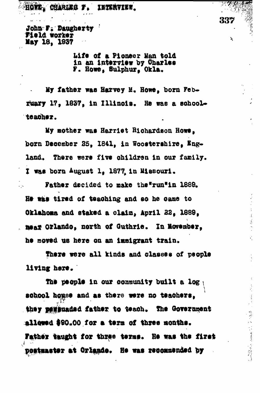HÓTE. CHARLES F. INTERVIET.

John F. Daugherty Field worker May 18, 1937

> Life of a Pionser Man told in an interview by Charles F. Howe, Sulphur, Okla.

 $3.7.0.0$ 

337

à.

1、 热爱的人 的复数医学 医血管结核

My father was Harvey M. Howe, born February 17. 1837. in Illinois. He was a schoolteacher.

My mother was Harriet Richardson Howe. born December 25, 1841, in Woostershire, England. There were five children in our family. I was born August 1, 1877 in Missouri.

Father decided to make the "run"in 1889.  $\sim$ He was tired of teaching and so he came to Oklahoma and staked a claim, April 22. 1889. , mear Orlando, north of Guthrie. In Movember. he moved us here on an immigrant train.

There were all kinds and classes of people living here.

The people in our community built a log ; school house and as there were no teachers. they mereuaded father to teach. The Government allowed \$90.00 for a term of three months. Father taught for three terms. He was the firet postmaster at Griande. He was recommended by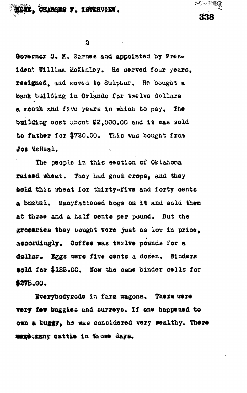Kowe, Oharieg F. Interview.

DE MARKET

 $\overline{a}$ 

Governor C. M. Barnes and appointed by President William MoKinley. He served four years. resigned, and woved to Sulphur. He bought a bank building in Orlando for twelve dollars a month and five years in which to pay. The building cost about  $22,000,00$  and it was sold to father for \$720.00. This was bought from Jos MoNeal.

The people in this section of Oklahoma raised wheat. They had good crops, and they sold this wheat for thirty-five and forty cents a bushel. Manyfattened hogs on it and sold them at three and a half cents per pound. But the groceries they bought were just as low in price. accordingly. Coffee was twelve pounds for a dollar. Eggs were five oents a dozen. Binders sold for \$125.00. Now the same binder sells for \$275.00.

Everybodyrods in farm wagons. There were very faw buggies and surreys. If one happened to own a buggy, he was considered very wealthy. There merequany cattle in those days.